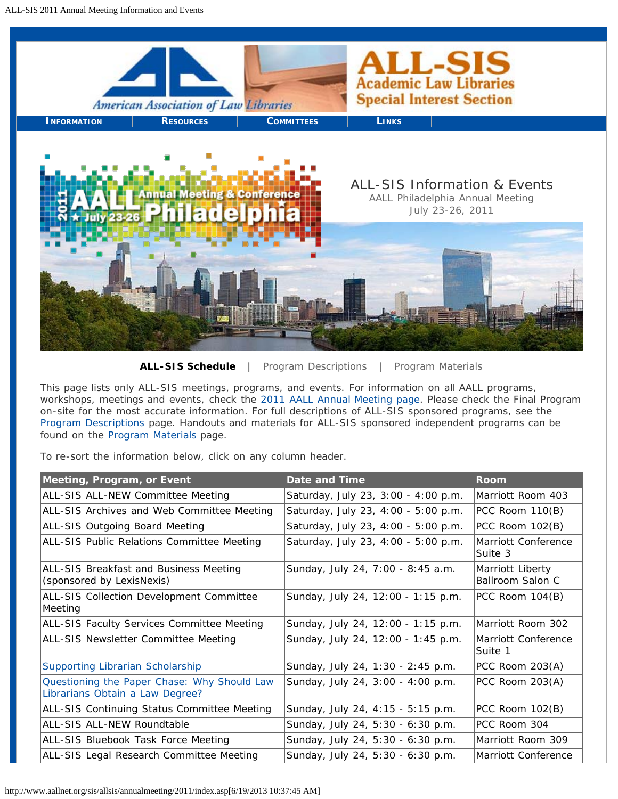<span id="page-0-0"></span>

**ALL-SIS Schedule** | [Program Descriptions](#page-2-0) | [Program Materials](#page-6-0)

This page lists only ALL-SIS meetings, programs, and events. For information on all AALL programs, workshops, meetings and events, check the [2011 AALL Annual Meeting page](http://www.aallnet.org/main-menu/Education/events). Please check the Final Program on-site for the most accurate information. For full descriptions of ALL-SIS sponsored programs, see the [Program Descriptions](#page-2-0) page. Handouts and materials for ALL-SIS sponsored independent programs can be found on the [Program Materials](#page-6-0) page.

To re-sort the information below, click on any column header.

| Meeting, Program, or Event                                                     | Date and Time                       | Room                                 |
|--------------------------------------------------------------------------------|-------------------------------------|--------------------------------------|
| ALL-SIS ALL-NEW Committee Meeting                                              | Saturday, July 23, 3:00 - 4:00 p.m. | Marriott Room 403                    |
| ALL-SIS Archives and Web Committee Meeting                                     | Saturday, July 23, 4:00 - 5:00 p.m. | PCC Room 110(B)                      |
| ALL-SIS Outgoing Board Meeting                                                 | Saturday, July 23, 4:00 - 5:00 p.m. | PCC Room 102(B)                      |
| ALL-SIS Public Relations Committee Meeting                                     | Saturday, July 23, 4:00 - 5:00 p.m. | Marriott Conference<br>Suite 3       |
| ALL-SIS Breakfast and Business Meeting<br>(sponsored by LexisNexis)            | Sunday, July 24, 7:00 - 8:45 a.m.   | Marriott Liberty<br>Ballroom Salon C |
| <b>ALL-SIS Collection Development Committee</b><br>Meeting                     | Sunday, July 24, 12:00 - 1:15 p.m.  | PCC Room 104(B)                      |
| ALL-SIS Faculty Services Committee Meeting                                     | Sunday, July 24, 12:00 - 1:15 p.m.  | Marriott Room 302                    |
| <b>ALL-SIS Newsletter Committee Meeting</b>                                    | Sunday, July 24, 12:00 - 1:45 p.m.  | Marriott Conference<br>Suite 1       |
| Supporting Librarian Scholarship                                               | Sunday, July 24, 1:30 - 2:45 p.m.   | PCC Room 203(A)                      |
| Questioning the Paper Chase: Why Should Law<br>Librarians Obtain a Law Degree? | Sunday, July 24, 3:00 - 4:00 p.m.   | PCC Room 203(A)                      |
| ALL-SIS Continuing Status Committee Meeting                                    | Sunday, July 24, 4:15 - 5:15 p.m.   | PCC Room 102(B)                      |
| ALL-SIS ALL-NEW Roundtable                                                     | Sunday, July 24, 5:30 - 6:30 p.m.   | PCC Room 304                         |
| ALL-SIS Bluebook Task Force Meeting                                            | Sunday, July 24, 5:30 - 6:30 p.m.   | Marriott Room 309                    |
| ALL-SIS Legal Research Committee Meeting                                       | Sunday, July 24, 5:30 - 6:30 p.m.   | Marriott Conference                  |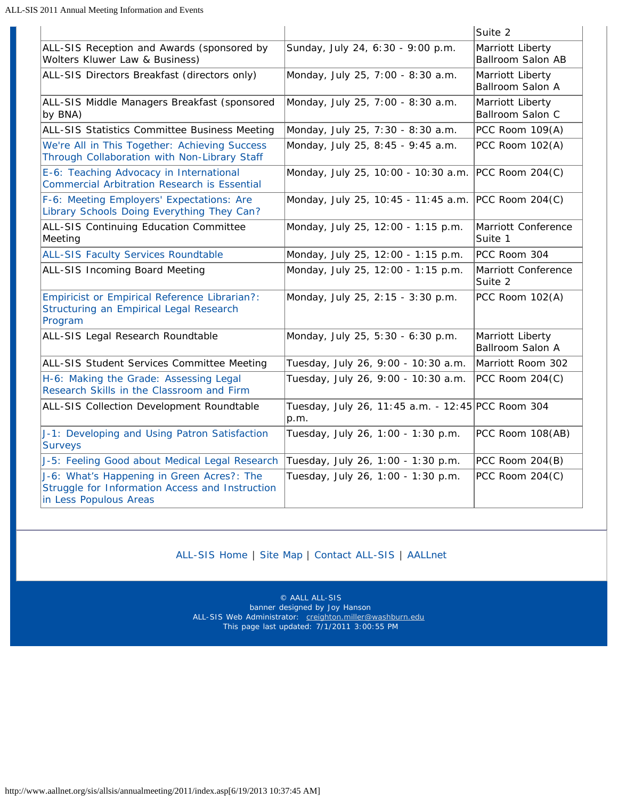|                                                                                                                         |                                                           | Suite 2                               |
|-------------------------------------------------------------------------------------------------------------------------|-----------------------------------------------------------|---------------------------------------|
| ALL-SIS Reception and Awards (sponsored by<br>Wolters Kluwer Law & Business)                                            | Sunday, July 24, 6:30 - 9:00 p.m.                         | Marriott Liberty<br>Ballroom Salon AB |
| ALL-SIS Directors Breakfast (directors only)                                                                            | Monday, July 25, 7:00 - 8:30 a.m.                         | Marriott Liberty<br>Ballroom Salon A  |
| ALL-SIS Middle Managers Breakfast (sponsored<br>by BNA)                                                                 | Monday, July 25, 7:00 - 8:30 a.m.                         | Marriott Liberty<br>Ballroom Salon C  |
| ALL-SIS Statistics Committee Business Meeting                                                                           | Monday, July 25, 7:30 - 8:30 a.m.                         | PCC Room 109(A)                       |
| We're All in This Together: Achieving Success<br>Through Collaboration with Non-Library Staff                           | Monday, July 25, 8:45 - 9:45 a.m.                         | PCC Room 102(A)                       |
| E-6: Teaching Advocacy in International<br><b>Commercial Arbitration Research is Essential</b>                          | Monday, July 25, 10:00 - 10:30 a.m.                       | PCC Room 204(C)                       |
| F-6: Meeting Employers' Expectations: Are<br>Library Schools Doing Everything They Can?                                 | Monday, July 25, 10:45 - 11:45 a.m.                       | PCC Room 204(C)                       |
| ALL-SIS Continuing Education Committee<br>Meeting                                                                       | Monday, July 25, 12:00 - 1:15 p.m.                        | Marriott Conference<br>Suite 1        |
| <b>ALL-SIS Faculty Services Roundtable</b>                                                                              | Monday, July 25, 12:00 - 1:15 p.m.                        | PCC Room 304                          |
| ALL-SIS Incoming Board Meeting                                                                                          | Monday, July 25, 12:00 - 1:15 p.m.                        | Marriott Conference<br>Suite 2        |
| <b>Empiricist or Empirical Reference Librarian?:</b><br>Structuring an Empirical Legal Research<br>Program              | Monday, July 25, 2:15 - 3:30 p.m.                         | PCC Room 102(A)                       |
| ALL-SIS Legal Research Roundtable                                                                                       | Monday, July 25, 5:30 - 6:30 p.m.                         | Marriott Liberty<br>Ballroom Salon A  |
| ALL-SIS Student Services Committee Meeting                                                                              | Tuesday, July 26, 9:00 - 10:30 a.m.                       | Marriott Room 302                     |
| H-6: Making the Grade: Assessing Legal<br>Research Skills in the Classroom and Firm                                     | Tuesday, July 26, 9:00 - 10:30 a.m.                       | PCC Room 204(C)                       |
| ALL-SIS Collection Development Roundtable                                                                               | Tuesday, July 26, 11:45 a.m. - 12:45 PCC Room 304<br>p.m. |                                       |
| J-1: Developing and Using Patron Satisfaction<br><b>Surveys</b>                                                         | Tuesday, July 26, 1:00 - 1:30 p.m.                        | PCC Room 108(AB)                      |
| J-5: Feeling Good about Medical Legal Research                                                                          | Tuesday, July 26, 1:00 - 1:30 p.m.                        | PCC Room 204(B)                       |
| J-6: What's Happening in Green Acres?: The<br>Struggle for Information Access and Instruction<br>in Less Populous Areas | Tuesday, July 26, 1:00 - 1:30 p.m.                        | PCC Room 204(C)                       |

# [ALL-SIS Home](http://www.aallnet.org/sis/allsis/index.asp) | [Site Map](http://www.aallnet.org/sis/allsis/info/sitemap.asp) | [Contact ALL-SIS](http://www.aallnet.org/sis/allsis/info/contact.asp) | [AALLnet](http://www.aallnet.org/)

© AALL ALL-SIS banner designed by Joy Hanson ALL-SIS Web Administrator: [creighton.miller@washburn.edu](mailto:creighton.miller@washburn.edu) This page last updated: 7/1/2011 3:00:55 PM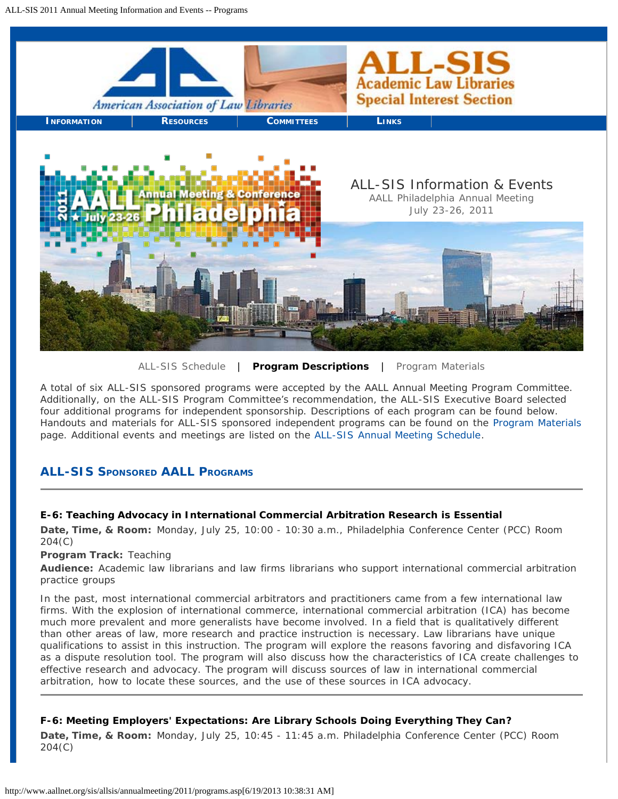<span id="page-2-0"></span>

[ALL-SIS Schedule](#page-0-0) | **Program Descriptions** | [Program Materials](#page-6-0)

A total of six ALL-SIS sponsored programs were accepted by the AALL Annual Meeting Program Committee. Additionally, on the ALL-SIS Program Committee's recommendation, the ALL-SIS Executive Board selected four additional programs for independent sponsorship. Descriptions of each program can be found below. Handouts and materials for ALL-SIS sponsored independent programs can be found on the [Program Materials](#page-6-0) page. Additional events and meetings are listed on the [ALL-SIS Annual Meeting Schedule.](#page-0-0)

# **ALL-SIS SpONSOREd AALL PROGRAMS**

# **E-6: Teaching Advocacy in International Commercial Arbitration Research is Essential**

**Date, Time, & Room:** Monday, July 25, 10:00 - 10:30 a.m., Philadelphia Conference Center (PCC) Room 204(C)

**Program Track:** Teaching

**Audience:** Academic law librarians and law firms librarians who support international commercial arbitration practice groups

In the past, most international commercial arbitrators and practitioners came from a few international law firms. With the explosion of international commerce, international commercial arbitration (ICA) has become much more prevalent and more generalists have become involved. In a field that is qualitatively different than other areas of law, more research and practice instruction is necessary. Law librarians have unique qualifications to assist in this instruction. The program will explore the reasons favoring and disfavoring ICA as a dispute resolution tool. The program will also discuss how the characteristics of ICA create challenges to effective research and advocacy. The program will discuss sources of law in international commercial arbitration, how to locate these sources, and the use of these sources in ICA advocacy.

# **F-6: Meeting Employers' Expectations: Are Library Schools Doing Everything They Can?**

**Date, Time, & Room:** Monday, July 25, 10:45 - 11:45 a.m. Philadelphia Conference Center (PCC) Room 204(C)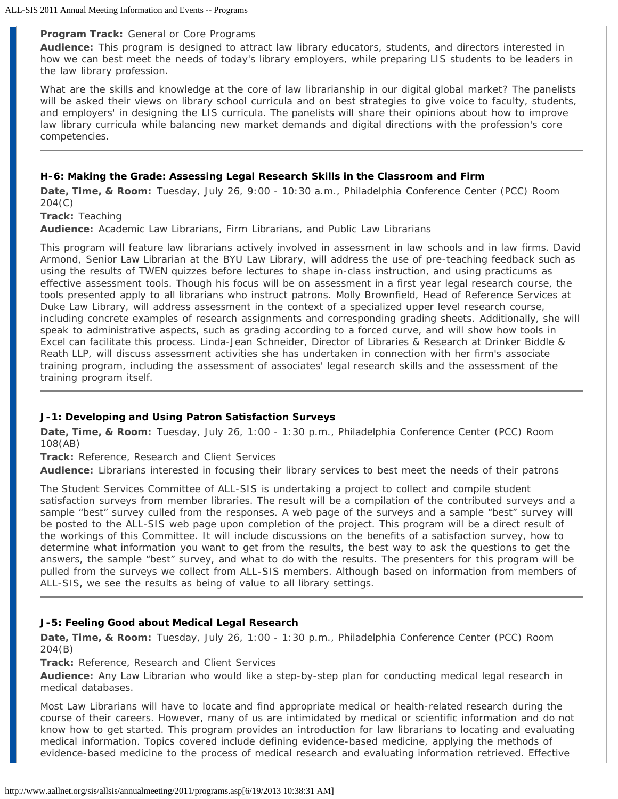#### **Program Track:** General or Core Programs

**Audience:** This program is designed to attract law library educators, students, and directors interested in how we can best meet the needs of today's library employers, while preparing LIS students to be leaders in the law library profession.

What are the skills and knowledge at the core of law librarianship in our digital global market? The panelists will be asked their views on library school curricula and on best strategies to give voice to faculty, students, and employers' in designing the LIS curricula. The panelists will share their opinions about how to improve law library curricula while balancing new market demands and digital directions with the profession's core competencies.

### **H-6: Making the Grade: Assessing Legal Research Skills in the Classroom and Firm**

**Date, Time, & Room:** Tuesday, July 26, 9:00 - 10:30 a.m., Philadelphia Conference Center (PCC) Room 204(C)

**Track:** Teaching

**Audience:** Academic Law Librarians, Firm Librarians, and Public Law Librarians

This program will feature law librarians actively involved in assessment in law schools and in law firms. David Armond, Senior Law Librarian at the BYU Law Library, will address the use of pre-teaching feedback such as using the results of TWEN quizzes before lectures to shape in-class instruction, and using practicums as effective assessment tools. Though his focus will be on assessment in a first year legal research course, the tools presented apply to all librarians who instruct patrons. Molly Brownfield, Head of Reference Services at Duke Law Library, will address assessment in the context of a specialized upper level research course, including concrete examples of research assignments and corresponding grading sheets. Additionally, she will speak to administrative aspects, such as grading according to a forced curve, and will show how tools in Excel can facilitate this process. Linda-Jean Schneider, Director of Libraries & Research at Drinker Biddle & Reath LLP, will discuss assessment activities she has undertaken in connection with her firm's associate training program, including the assessment of associates' legal research skills and the assessment of the training program itself.

#### **J-1: Developing and Using Patron Satisfaction Surveys**

**Date, Time, & Room:** Tuesday, July 26, 1:00 - 1:30 p.m., Philadelphia Conference Center (PCC) Room 108(AB)

**Track:** Reference, Research and Client Services

**Audience:** Librarians interested in focusing their library services to best meet the needs of their patrons

The Student Services Committee of ALL-SIS is undertaking a project to collect and compile student satisfaction surveys from member libraries. The result will be a compilation of the contributed surveys and a sample "best" survey culled from the responses. A web page of the surveys and a sample "best" survey will be posted to the ALL-SIS web page upon completion of the project. This program will be a direct result of the workings of this Committee. It will include discussions on the benefits of a satisfaction survey, how to determine what information you want to get from the results, the best way to ask the questions to get the answers, the sample "best" survey, and what to do with the results. The presenters for this program will be pulled from the surveys we collect from ALL-SIS members. Although based on information from members of ALL-SIS, we see the results as being of value to all library settings.

## **J-5: Feeling Good about Medical Legal Research**

**Date, Time, & Room:** Tuesday, July 26, 1:00 - 1:30 p.m., Philadelphia Conference Center (PCC) Room 204(B)

**Track:** Reference, Research and Client Services

**Audience:** Any Law Librarian who would like a step-by-step plan for conducting medical legal research in medical databases.

Most Law Librarians will have to locate and find appropriate medical or health-related research during the course of their careers. However, many of us are intimidated by medical or scientific information and do not know how to get started. This program provides an introduction for law librarians to locating and evaluating medical information. Topics covered include defining evidence-based medicine, applying the methods of evidence-based medicine to the process of medical research and evaluating information retrieved. Effective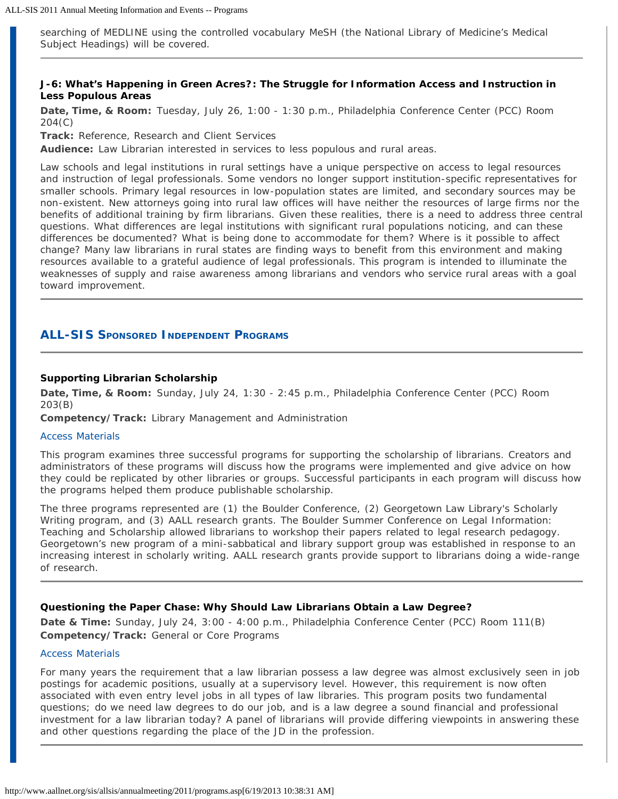searching of MEDLINE using the controlled vocabulary MeSH (the National Library of Medicine's Medical Subject Headings) will be covered.

#### **J-6: What's Happening in Green Acres?: The Struggle for Information Access and Instruction in Less Populous Areas**

**Date, Time, & Room:** Tuesday, July 26, 1:00 - 1:30 p.m., Philadelphia Conference Center (PCC) Room 204(C)

**Track:** Reference, Research and Client Services

**Audience:** Law Librarian interested in services to less populous and rural areas.

Law schools and legal institutions in rural settings have a unique perspective on access to legal resources and instruction of legal professionals. Some vendors no longer support institution-specific representatives for smaller schools. Primary legal resources in low-population states are limited, and secondary sources may be non-existent. New attorneys going into rural law offices will have neither the resources of large firms nor the benefits of additional training by firm librarians. Given these realities, there is a need to address three central questions. What differences are legal institutions with significant rural populations noticing, and can these differences be documented? What is being done to accommodate for them? Where is it possible to affect change? Many law librarians in rural states are finding ways to benefit from this environment and making resources available to a grateful audience of legal professionals. This program is intended to illuminate the weaknesses of supply and raise awareness among librarians and vendors who service rural areas with a goal toward improvement.

# **ALL-SIS SpONSOREd INdEpENdENT PROGRAMS**

#### **Supporting Librarian Scholarship**

**Date, Time, & Room:** Sunday, July 24, 1:30 - 2:45 p.m., Philadelphia Conference Center (PCC) Room 203(B)

**Competency/Track:** Library Management and Administration

#### [Access Materials](#page-6-1)

This program examines three successful programs for supporting the scholarship of librarians. Creators and administrators of these programs will discuss how the programs were implemented and give advice on how they could be replicated by other libraries or groups. Successful participants in each program will discuss how the programs helped them produce publishable scholarship.

The three programs represented are (1) the Boulder Conference, (2) Georgetown Law Library's Scholarly Writing program, and (3) AALL research grants. The Boulder Summer Conference on Legal Information: Teaching and Scholarship allowed librarians to workshop their papers related to legal research pedagogy. Georgetown's new program of a mini-sabbatical and library support group was established in response to an increasing interest in scholarly writing. AALL research grants provide support to librarians doing a wide-range of research.

#### **Questioning the Paper Chase: Why Should Law Librarians Obtain a Law Degree?**

**Date & Time:** Sunday, July 24, 3:00 - 4:00 p.m., Philadelphia Conference Center (PCC) Room 111(B) **Competency/Track:** General or Core Programs

#### [Access Materials](#page-6-2)

For many years the requirement that a law librarian possess a law degree was almost exclusively seen in job postings for academic positions, usually at a supervisory level. However, this requirement is now often associated with even entry level jobs in all types of law libraries. This program posits two fundamental questions; do we need law degrees to do our job, and is a law degree a sound financial and professional investment for a law librarian today? A panel of librarians will provide differing viewpoints in answering these and other questions regarding the place of the JD in the profession.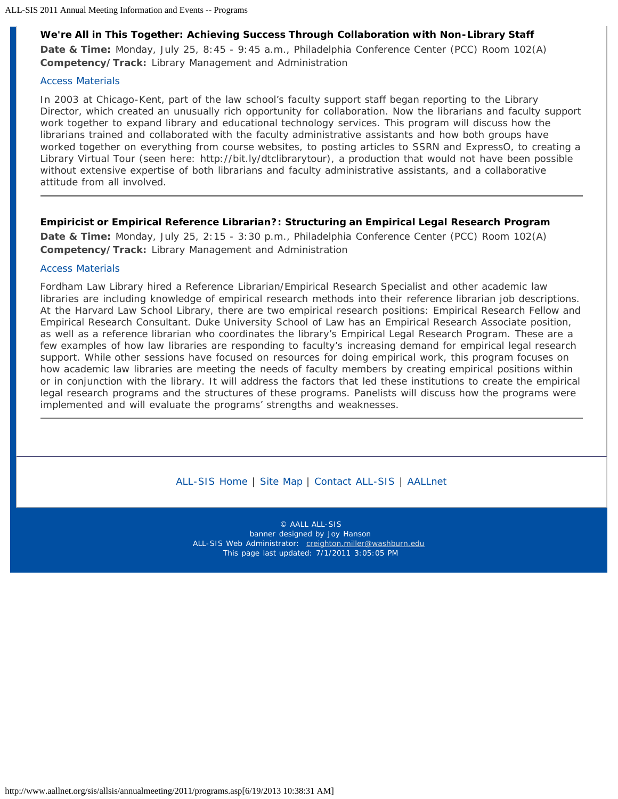## **We're All in This Together: Achieving Success Through Collaboration with Non-Library Staff**

**Date & Time:** Monday, July 25, 8:45 - 9:45 a.m., Philadelphia Conference Center (PCC) Room 102(A) **Competency/Track:** Library Management and Administration

#### [Access Materials](#page-6-3)

In 2003 at Chicago-Kent, part of the law school's faculty support staff began reporting to the Library Director, which created an unusually rich opportunity for collaboration. Now the librarians and faculty support work together to expand library and educational technology services. This program will discuss how the librarians trained and collaborated with the faculty administrative assistants and how both groups have worked together on everything from course websites, to posting articles to SSRN and ExpressO, to creating a Library Virtual Tour (seen here: http://bit.ly/dtclibrarytour), a production that would not have been possible without extensive expertise of both librarians and faculty administrative assistants, and a collaborative attitude from all involved.

### **Empiricist or Empirical Reference Librarian?: Structuring an Empirical Legal Research Program**

**Date & Time:** Monday, July 25, 2:15 - 3:30 p.m., Philadelphia Conference Center (PCC) Room 102(A) **Competency/Track:** Library Management and Administration

#### [Access Materials](#page-7-0)

Fordham Law Library hired a Reference Librarian/Empirical Research Specialist and other academic law libraries are including knowledge of empirical research methods into their reference librarian job descriptions. At the Harvard Law School Library, there are two empirical research positions: Empirical Research Fellow and Empirical Research Consultant. Duke University School of Law has an Empirical Research Associate position, as well as a reference librarian who coordinates the library's Empirical Legal Research Program. These are a few examples of how law libraries are responding to faculty's increasing demand for empirical legal research support. While other sessions have focused on resources for doing empirical work, this program focuses on how academic law libraries are meeting the needs of faculty members by creating empirical positions within or in conjunction with the library. It will address the factors that led these institutions to create the empirical legal research programs and the structures of these programs. Panelists will discuss how the programs were implemented and will evaluate the programs' strengths and weaknesses.

[ALL-SIS Home](http://www.aallnet.org/sis/allsis/index.asp) | [Site Map](http://www.aallnet.org/sis/allsis/info/sitemap.asp) | [Contact ALL-SIS](http://www.aallnet.org/sis/allsis/info/contact.asp) | [AALLnet](http://www.aallnet.org/)

© AALL ALL-SIS banner designed by Joy Hanson ALL-SIS Web Administrator: [creighton.miller@washburn.edu](mailto:creighton.miller@washburn.edu) This page last updated: 7/1/2011 3:05:05 PM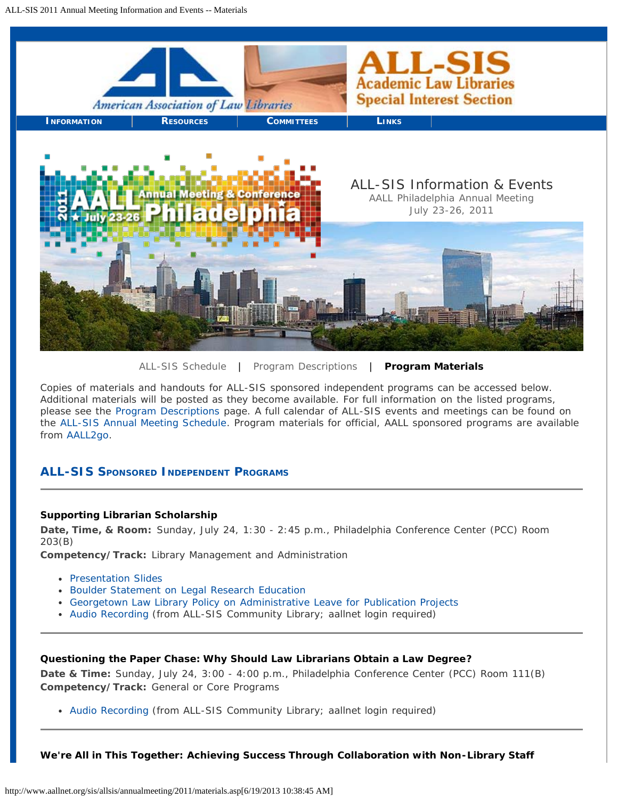<span id="page-6-0"></span>

[ALL-SIS Schedule](#page-0-0) | [Program Descriptions](#page-2-0) | **Program Materials**

Copies of materials and handouts for ALL-SIS sponsored independent programs can be accessed below. Additional materials will be posted as they become available. For full information on the listed programs, please see the [Program Descriptions](#page-2-0) page. A full calendar of ALL-SIS events and meetings can be found on the [ALL-SIS Annual Meeting Schedule.](#page-0-0) Program materials for official, AALL sponsored programs are available from [AALL2go.](http://www.aallnet.org/main-menu/Education/events/attendees/education/edu-materials.html)

# **ALL-SIS SpONSORED INDEpENDENT PROGRAMS**

#### <span id="page-6-1"></span>**Supporting Librarian Scholarship**

**Date, Time, & Room:** Sunday, July 24, 1:30 - 2:45 p.m., Philadelphia Conference Center (PCC) Room 203(B)

**Competency/Track:** Library Management and Administration

- [Presentation Slides](http://www.aallnet.org/gm-node/32887.aspx)
- [Boulder Statement on Legal Research Education](http://www.aallnet.org/gm-node/32885.aspx)
- [Georgetown Law Library Policy on Administrative Leave for Publication Projects](http://www.aallnet.org/gm-node/32886.aspx)
- [Audio Recording](http://community.aallnet.org/AALLNET/AALLNET/Go.aspx?c=ViewDocument&DocumentKey=8234aa39-23a8-40b0-831f-1600313ed6ab) (from ALL-SIS Community Library; aallnet login required)

### <span id="page-6-2"></span>**Questioning the Paper Chase: Why Should Law Librarians Obtain a Law Degree?**

**Date & Time:** Sunday, July 24, 3:00 - 4:00 p.m., Philadelphia Conference Center (PCC) Room 111(B) **Competency/Track:** General or Core Programs

[Audio Recording](http://community.aallnet.org/AALLNET/AALLNET/Go.aspx?c=ViewDocument&DocumentKey=ae998d81-d17f-4f69-b716-3cb7793e4915) (from ALL-SIS Community Library; aallnet login required)

<span id="page-6-3"></span>**We're All in This Together: Achieving Success Through Collaboration with Non-Library Staff**